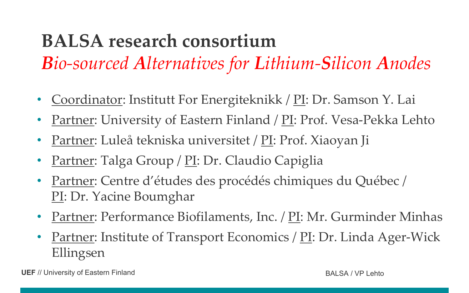## **BALSA research consortium**

*Bio-sourced Alternatives for Lithium-Silicon Anodes*

- Coordinator: Institutt For Energiteknikk / PI: Dr. Samson Y. Lai
- Partner: University of Eastern Finland / PI: Prof. Vesa-Pekka Lehto
- Partner: Luleå tekniska universitet / PI: Prof. Xiaoyan Ji
- Partner: Talga Group / PI: Dr. Claudio Capiglia
- Partner: Centre d'études des procédés chimiques du Québec / PI: Dr. Yacine Boumghar
- Partner: Performance Biofilaments, Inc. / PI: Mr. Gurminder Minhas
- Partner: Institute of Transport Economics / PI: Dr. Linda Ager-Wick Ellingsen

**UEF** // University of Eastern Finland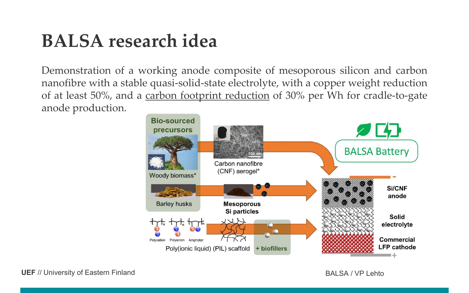## **BALSA research idea**

Demonstration of a working anode composite of mesoporous silicon and carbon nanofibre with a stable quasi-solid-state electrolyte, with a copper weight reduction of at least 50%, and a carbon footprint reduction of 30% per Wh for cradle-to-gate anode production.